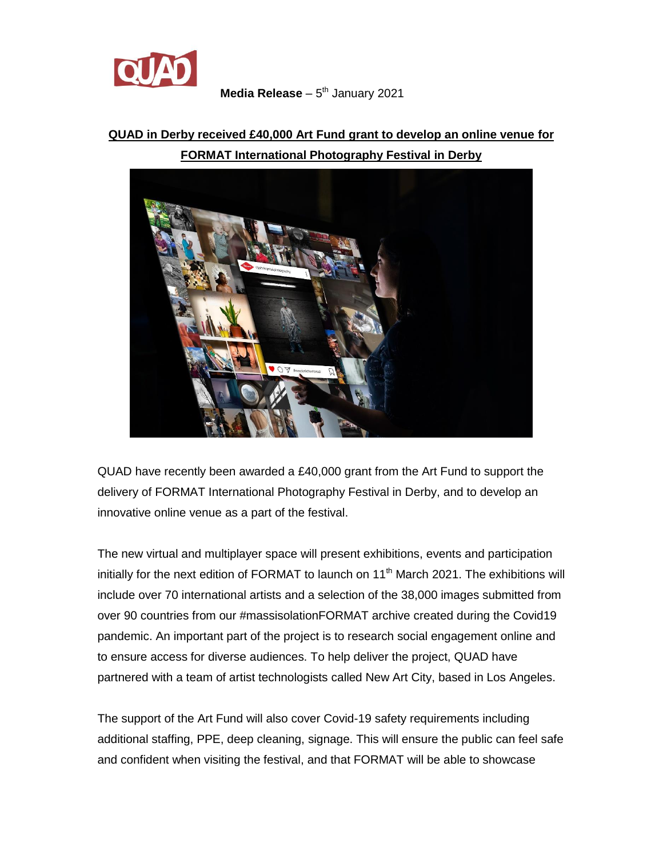

## **QUAD in Derby received £40,000 Art Fund grant to develop an online venue for FORMAT International Photography Festival in Derby**



QUAD have recently been awarded a £40,000 grant from the Art Fund to support the delivery of FORMAT International Photography Festival in Derby, and to develop an innovative online venue as a part of the festival.

The new virtual and multiplayer space will present exhibitions, events and participation initially for the next edition of FORMAT to launch on  $11<sup>th</sup>$  March 2021. The exhibitions will include over 70 international artists and a selection of the 38,000 images submitted from over 90 countries from our #massisolationFORMAT archive created during the Covid19 pandemic. An important part of the project is to research social engagement online and to ensure access for diverse audiences. To help deliver the project, QUAD have partnered with a team of artist technologists called New Art City, based in Los Angeles.

The support of the Art Fund will also cover Covid-19 safety requirements including additional staffing, PPE, deep cleaning, signage. This will ensure the public can feel safe and confident when visiting the festival, and that FORMAT will be able to showcase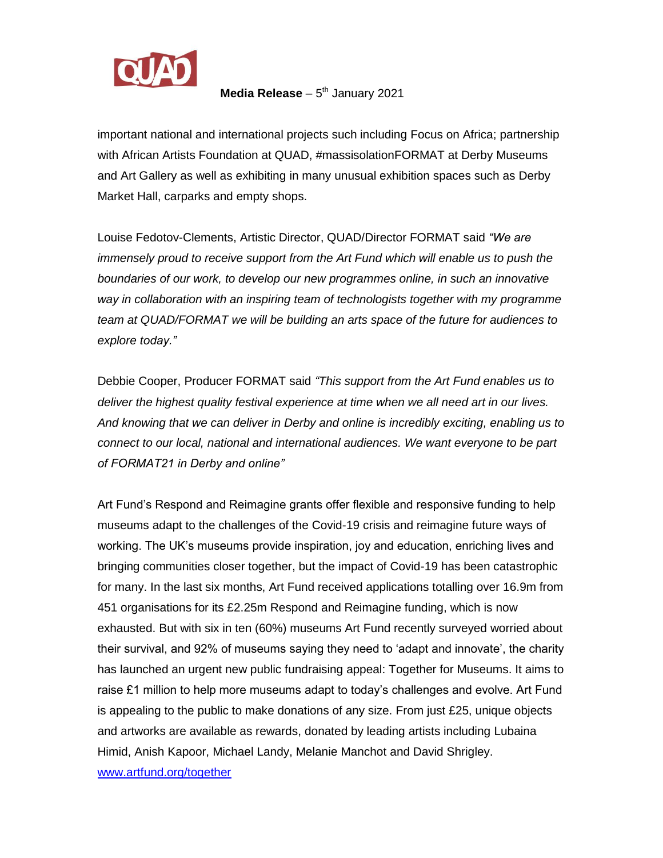

important national and international projects such including Focus on Africa; partnership with African Artists Foundation at QUAD, #massisolationFORMAT at Derby Museums and Art Gallery as well as exhibiting in many unusual exhibition spaces such as Derby Market Hall, carparks and empty shops.

Louise Fedotov-Clements, Artistic Director, QUAD/Director FORMAT said *"We are immensely proud to receive support from the Art Fund which will enable us to push the boundaries of our work, to develop our new programmes online, in such an innovative way in collaboration with an inspiring team of technologists together with my programme team at QUAD/FORMAT we will be building an arts space of the future for audiences to explore today."* 

Debbie Cooper, Producer FORMAT said *"This support from the Art Fund enables us to deliver the highest quality festival experience at time when we all need art in our lives. And knowing that we can deliver in Derby and online is incredibly exciting, enabling us to connect to our local, national and international audiences. We want everyone to be part of FORMAT21 in Derby and online"*

Art Fund's Respond and Reimagine grants offer flexible and responsive funding to help museums adapt to the challenges of the Covid-19 crisis and reimagine future ways of working. The UK's museums provide inspiration, joy and education, enriching lives and bringing communities closer together, but the impact of Covid-19 has been catastrophic for many. In the last six months, Art Fund received applications totalling over 16.9m from 451 organisations for its £2.25m Respond and Reimagine funding, which is now exhausted. But with six in ten (60%) museums Art Fund recently surveyed worried about their survival, and 92% of museums saying they need to 'adapt and innovate', the charity has launched an urgent new public fundraising appeal: Together for Museums. It aims to raise £1 million to help more museums adapt to today's challenges and evolve. Art Fund is appealing to the public to make donations of any size. From just £25, unique objects and artworks are available as rewards, donated by leading artists including Lubaina Himid, Anish Kapoor, Michael Landy, Melanie Manchot and David Shrigley. [www.artfund.org/together](http://www.artfund.org/together)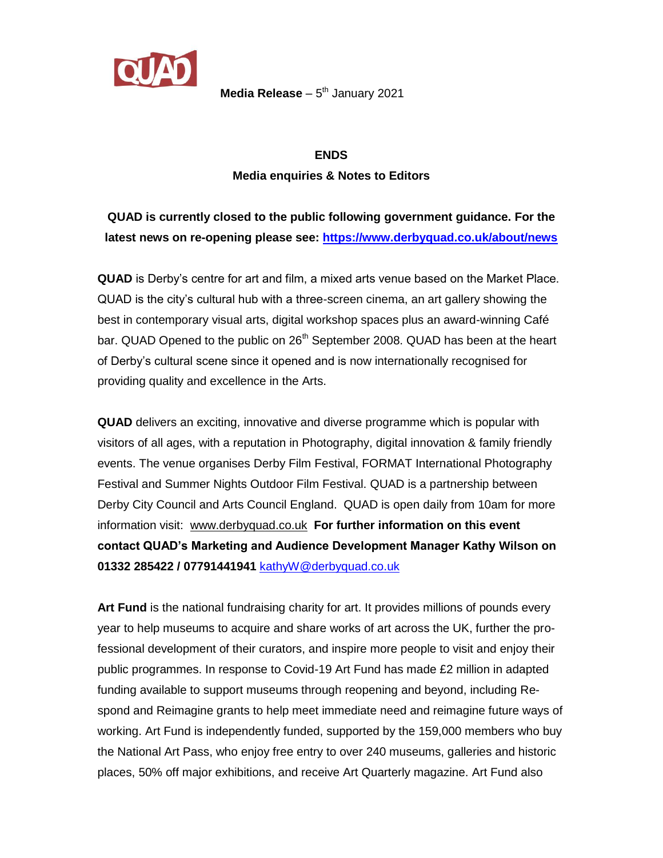

**ENDS**

**Media enquiries & Notes to Editors**

**QUAD is currently closed to the public following government guidance. For the latest news on re-opening please see: <https://www.derbyquad.co.uk/about/news>**

**QUAD** is Derby's centre for art and film, a mixed arts venue based on the Market Place. QUAD is the city's cultural hub with a three-screen cinema, an art gallery showing the best in contemporary visual arts, digital workshop spaces plus an award-winning Café bar. QUAD Opened to the public on 26<sup>th</sup> September 2008. QUAD has been at the heart of Derby's cultural scene since it opened and is now internationally recognised for providing quality and excellence in the Arts.

**QUAD** delivers an exciting, innovative and diverse programme which is popular with visitors of all ages, with a reputation in Photography, digital innovation & family friendly events. The venue organises Derby Film Festival, FORMAT International Photography Festival and Summer Nights Outdoor Film Festival. QUAD is a partnership between Derby City Council and Arts Council England. QUAD is open daily from 10am for more information visit: [www.derbyquad.co.uk](http://www.derbyquad.co.uk/) **For further information on this event contact QUAD's Marketing and Audience Development Manager Kathy Wilson on 01332 285422 / 07791441941** [kathyW@derbyquad.co.uk](mailto:kathyW@derbyquad.co.uk)

Art Fund is the national fundraising charity for art. It provides millions of pounds every year to help museums to acquire and share works of art across the UK, further the professional development of their curators, and inspire more people to visit and enjoy their public programmes. In response to Covid-19 Art Fund has made £2 million in adapted funding available to support museums through reopening and beyond, including Respond and Reimagine grants to help meet immediate need and reimagine future ways of working. Art Fund is independently funded, supported by the 159,000 members who buy the National Art Pass, who enjoy free entry to over 240 museums, galleries and historic places, 50% off major exhibitions, and receive Art Quarterly magazine. Art Fund also